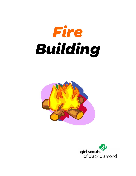



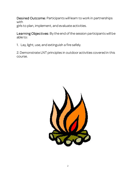Desired Outcome: Participants will learn to work in partnerships with girls to plan, implement, and evaluate activities.

Learning Objectives: By the end of the session participants will be able to:

1. Lay, light, use, and extinguish a fire safely.

2. Demonstrate LNT principles in outdoor activities covered in this course.

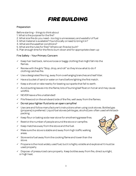### *FIRE BUILDING*

#### Preparation

Before starting – things to think about

- 1. What is the purpose for the fire?
- 2. What size fire do you need too big is unnecessary and wasteful of fuel
- 3. What material is available? Found locally or need to bring it in?
- 4. What are the weather conditions?
- 5. What are the rules for fires? Where can fires be built?
- 6. Plan enough time for the fire to burn down and for appropriate clean-up

### Fire Safety - Your Primary Concern

- $\checkmark$  Keep hair tied back, remove loose or baggy clothing that might fall into the flames.
- $\checkmark$  Review with the girls "Stop, drop, and roll" so they know what to do if clothing catches fire.
- $\checkmark$  Use a designated fire ring, away from overhanging branches and leaf litter.
- $\checkmark$  Have a bucket of sand or water on hand before lighting the first match.
- $\checkmark$  Keep a shovel or rake nearby for beating out sparks that fall to earth.
- $\checkmark$  Avoid putting leaves into the flame; bits of burning leaf float on hot air and may cause wildfire.
- $\checkmark$  NEVER leave a fire unattended!
- $\checkmark$  Pile firewood on the windward side of the fire, well away from the flames.
- $\checkmark$  Do not pour lighter fluid onto an open campfire!
- $\checkmark$  Use care and follow manufacturer's instructions when using cook stoves. Bottled gas (propane) is preferred. Liquid fuel stoves (white gas, alcohol) are often used while backpacking.
- $\checkmark$  Keep flour or baking soda near stove for smothering grease fires.
- $\checkmark$  Restrict the number of people around the stove or campfire.
- $\checkmark$  Keep matches away from the stove and the fuel.
- $\checkmark$  Make sure the stove is stable and away from high traffic walking areas.
- $\checkmark$  Store extra fuel away from the cooking flame and lower than the stove.
- $\checkmark$  Propane is the most widely used fuel, but it is highly volatile and explosive! It must be used properly.
- $\checkmark$  Dispose of pressurized cans properly. Keep bottles away from fire, direct sunlight, or high heat.

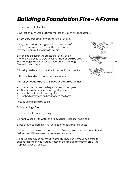## *Building a Foundation Fire – A Frame*

- 1. Prepare a safe fireplace.
- 2. Collect enough wood (3 times more than you think is necessary).
- 3. Gather bucket of water or sand, rake or shovel.

4. Lay thumb-sized or larger sticks in the shape of an A. If there is a breeze, orient the open end so that the breeze will blow into the A. air

5. Prop tinder against the crossbar of the A, twigs allowing the breeze to blow under it. Tinder should be piled loose enough to allow air circulation, but close enough to share the the flame with each other.

6. Hold lighted match under the tinder until it catches fire.

7. Gradually add more tinder, increasing in size.

#### *Won't light? Odds a re you've done one o f th ese things:*

- $\triangleright$  Used sticks that are too large, too wet, or too green
- $\triangleright$  Tinder was too sparse or too tightly placed
- $\triangleright$  Held the match in the wrong place
- $\triangleright$  Not had extra twigs on hand to feed the flame
- $\blacktriangleright$

Rebuild your fire and try again!

#### Extinguishing a fire

1. Spread out coals in fire ring

2. Sprinkle coals with water and rake. Repeat until coal bed is cool.

3. Use shovel to lift remaining fuel logs and soak in water bucket.

4. Then replace on smoothly raked, cool fire bed. Hold hand above coals and feel for heat. If it feels warm, continue to sprinkle.

5. For fireplace, plan on letting your fire burn to ash. Remove coals/ash to outside ring to sprinkle. Putting water on the fireplace bricks can crack the fireplace. Sweep fireplace.

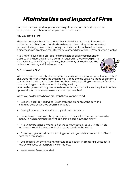## *Minimize Use and Impact of Fires*

Campfires are an important part of camping. However, sometimes they are not appropriate. Think about whether you need to have a fire.

### May You Have a Fire?

There are times, such as when the weather is very dry, that a campfire could be dangerous. At other times, there is a burn ban because of air quality concerns or because of a fragile environment. In fragile environments, such as deserts and alpine meadows, fires leave scars for many years and deplete slow-growing wood supplies.

If you want to build a fire, ask local land managers about fire restrictions or closures and whether a campfire p ermit is required in the area you plan to visit. Build fires only if they are allowed, there is plenty of wood that will be replenished quickly, and fire danger is low.



### Do You Need A Fire?

When a fire is permitted, think about whether you need to have one. For instance, cooking on a wood fire might not be the best choice. It is easier to do Leave No Trace cooking on a stove rather than on a wood campfire. Another choice is cooking on a charcoal fire. A propane or white gas stove is economical and lightweight,

provides fast, clean cooking, produces fewer emissions than a fire, and requires little clean up. In addition, it is far easier to use a stove in bad weather!

When you do decide to have a fire, keep the following in mind:

- $\triangleright$  Use only dead, downed wood. Green trees and branches won't burn and standing dead snags provide animals habitat.
- $\triangleright$  Sawing trees and branches leaves ugly stumps and scars.
- $\triangleright$  Collect small sticks from the ground, wrist size or smaller, that can be broken by hand. To help remember the right size, think "dead, down, and dinky."
- $\triangleright$  If your campsite has a woodpile, be sure to leave it as tidy as you find it. If it did not have a woodpile, scatter unbroken sticks back into the woods.
- $\triangleright$  Some campgrounds allow you to bring wood with you while some forbid it. Check with the site manager.
- $\triangleright$  Small sticks burn completely and provide good coals. The remaining white ash is easier to dispose of than partially burned logs.
- $\triangleright$  Never leave a fire unattended.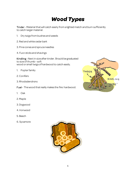# *Wood Types*

Tinder - Material that will catch easily from a lighted match and burn sufficiently to catch larger material.

- 1. Dry twigs from bushes and weeds
- 2. Red and white cedar bark
- 3. Pine cones and spruce needles
- 4. Fuzz sticks and shavings

Kindling - Next in size after tinder. Should be graduated to size of thumb – soft wood or small twigs of hardwood to catch easily.

- 1. Poplar family
- 2. Conifers
- 3. Rhododendrons

Fuel - The wood that really makes the fire: hardwood.

- 1. Oak
- 2. Maple
- 3. Dogwood
- 4. Ironwood
- 5. Beech
- 6. Sycamore



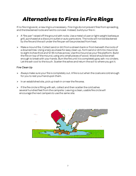# *Alternatives to Fires in Fire Rings*

If no fire rings exist, a new ring is unnecessary. Fire rings do not prevent fires from spreading, and the blackened rocks are hard to conceal. Instead, build your fire in:

- $\triangleright$  A "fire pan" raised off the ground with rocks. Use a metal oil pan or light-weight barbeque grill, purchased at a discount outlet or auto parts store. The rocks will not be blackened by the fire and the soil under the fire pan will be protected from heat.
- $\triangleright$  Make a mound fire. Collect sand or dirt from a stream bank or from beneath the roots of a downed tree. Using a tarp as a base for easy clean up, form sand or dirt into mound six to eight inches thick and 12-18 inches across. Use this mound as your fire platform. Build the fire on top of the mound, using only small pieces of wood. Wood should be small enough to break with your hands. Burn the fire until it is completely gray ash—no cinders. Let the ash cool to the touch. Scatter the ashes and return the soil to where you got it.

#### Fire Clean Up

- $\triangleright$  Always make sure your fire is completely out. A fire is out when the coals are cold enough for you to rest your hand upon them.
- $\triangleright$  In an established site, pick up trash in ornear the fire area.
- $\triangleright$  If the fire circle is filling with ash, collect and then scatter the cold ashes several hundred feet from the campsite. Leaving a clean, usable fire circle will encourage the next campers to use the same site.

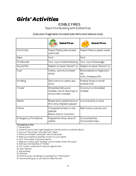### *Girls' Activities*

### EDIBLE FIRES

Teach Fire Building with Edible Fires

#### (Use your imagination to substi tute items and reduce cost)

|                               | <b>Salad Fires</b>                                                     | <b>Snack Fires</b>                                        |
|-------------------------------|------------------------------------------------------------------------|-----------------------------------------------------------|
| Fire Circle                   | Paper Plate (Lettuce leaf<br>optional)                                 | Paper Plate or paper towel                                |
| Rake                          | Fork                                                                   | Fork                                                      |
| <b>Fire Bucket</b>            | 3 oz. cup of salad dressing                                            | 3 oz. cup of beverage                                     |
| Wood Pile                     | Napkin to stack "Wood" on                                              | Napkin to stack "Wood" on                                 |
| Fuel                          | Celery, carrots or bread-<br>sticks                                    | Rod pretzels or large toot-<br>sie<br>rolls, cheese puffs |
| Kindling                      | Split carrot or celery sec-<br>tions                                   | Pretzel sticks or small<br>tootsie rolls                  |
| Tinder                        | Shredded lettuce or<br>cheese, carrot shavings or<br>chow mien noodles | Coconut or shredded<br>cheese                             |
| Match                         | Bread stick, pretzel stick or<br>thin strip of green pepper            | Licorice whip or stick                                    |
| Flame                         | Chopped tomato or red<br>pepper<br>Bacon bits or croutons              | Red-hots or candy corn                                    |
| <b>Emergency Fire Starter</b> | Peppermint kiss, slice of<br>radish                                    | Chocolate Kiss<br>Chocolate chips                         |

To build your fire: 1. Tie hair back

2. Check for items that might dangle into the fire and for synthetic fabrics.

3. Give out "fire circl es" and clear with "rakes."

4. Place your folded "wood pile" next to the plate.

5. Make a woodpile by stacking "wood" on your napkin.

6. Fill a "fire bucket" and place nea rby.

7. Make an A -frame with "kindling" in the middle of the "fire circl e."

8. Add two mini-handfuls of "tinder."

9. Put "match" under the A -frame to light the fire.

10. Add "flames"

11. Add kindling

12. Add fuel

13. Put fire out by sprinkling (or sipping) from "fire bucket."

14. Eat everything up so you leave a clean fire site.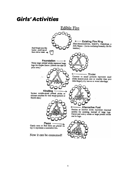### *Girls' Activities*

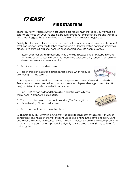### **FIRE STARTERS**

There ARE rainy, wet days when it's tough to get a fire going. In that case, you may need a safe fire starter to get your fire blazing. Below are options for fire starters. Making these at a troop meeting gets the girls involved and planning for those wet emergencies.

Safety Tip: If you select a fire starter that uses melted wax, you must use a double boiler (a small can inside a larger can that has some water in it). If wax gets too hot it can literally explode. Have a fire extinguisher handy in case of emergency. Do not microwave.

- 1. Kisses. Use small candle pieces and wrap them up in waxed paper. Twist both ends of the waxed paper to seal in the candle (looks like a salt water taffy candy.) Light an end when you are ready to start your fire.
- 2. Use pine cones covered with wax.

3. Pack charcoal in paper egg cartons and tie shut. When ready to use, just light the carton.

4. Put a piece of charcoal in each section of a paper egg carton. Cover with melted wax. Tear apart and use as need ed. You can also use wood chips or shavings, dryer lint (cotton only) or pistachio shells instead of the charcoal.

5. Take 100% cotton balls and thoroughly rub petroleum jelly into them. Keep in a zipper plastic baggie.

6. Trench candles: Newspaper cut into strips (3"-4" wide.) Roll up and tie with string. Dip into melted wax.

7. Use cotton lint from dryer as a fire starter.

8. Bundle about 10-12 "strike-anywhere" wooden kitchen matches together with waxed dental floss. The heads of the matches should all be pointing in the same direction. Generously soak the bundle of matches (except heads) in melted paraffin wax to waterproof and to provide a long burn time. Dip heads lightly only to waterproof them. Simply strike on flat rock to ignite.





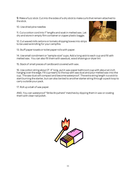9. Make a fuzz stick: Cut into the sides of a dry stick to make curls that remain attached to the stick.

10. Use dried pine needles

11. Cut a cotton cord into 1" lengths and soak in melted wax. Let dry and store in empty film container or zipper plastic baggie.

12. Cut waxed milk cartons or tomato shipping boxes into strips to be used as kindling for your campfire.

13. Stuff paper towels or toilet paper rolls with paper.

14. Use small condiment or "sample-size" cups. Add a long wick to each cup and fill with melted wax. You can also fill them with sawdust, wood shavings or dryer lint

15. Stack of small pieces of cardboard covered with wax.

16. Use cotton string about 3"-4" long, put in wax paper bathroom cup with about an inch hanging over the edge. Fill cup nearly to the top with saw dust and pour melted wax into the cup. The saw dust will compact and become waterproof. The extra string length is a wick to start burning the starter, but can also be tied to another starter string through a pack loop to carry outside your pack.

17. Roll up a ball of wax paper.

AND, You can waterproof "Strike Anywhere" matches by dipping them in wax or coating them with clear nail polish.